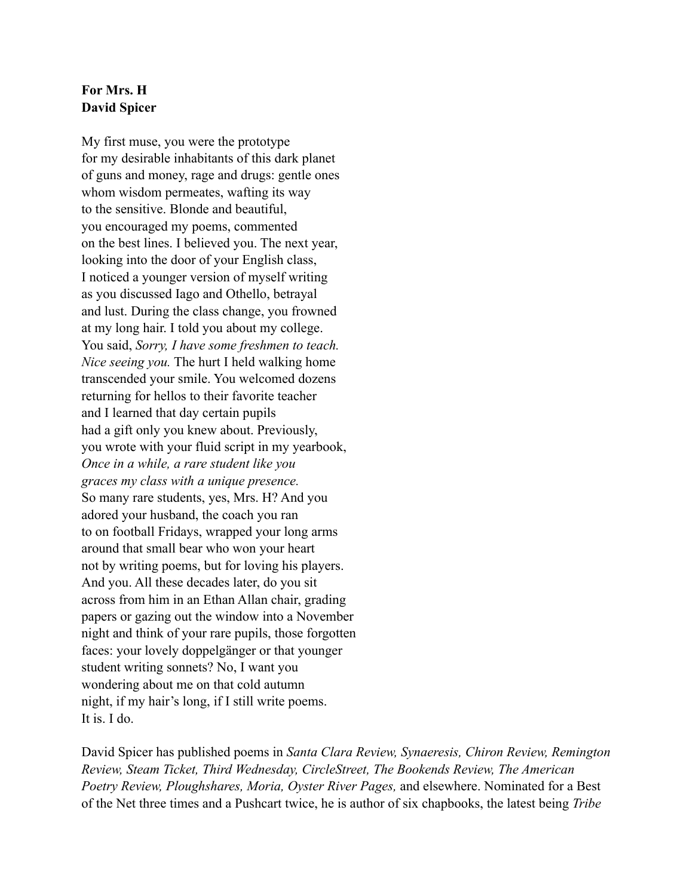## **For Mrs. H David Spicer**

My first muse, you were the prototype for my desirable inhabitants of this dark planet of guns and money, rage and drugs: gentle ones whom wisdom permeates, wafting its way to the sensitive. Blonde and beautiful, you encouraged my poems, commented on the best lines. I believed you. The next year, looking into the door of your English class, I noticed a younger version of myself writing as you discussed Iago and Othello, betrayal and lust. During the class change, you frowned at my long hair. I told you about my college. You said, *Sorry, I have some freshmen to teach. Nice seeing you.* The hurt I held walking home transcended your smile. You welcomed dozens returning for hellos to their favorite teacher and I learned that day certain pupils had a gift only you knew about. Previously, you wrote with your fluid script in my yearbook, *Once in a while, a rare student like you graces my class with a unique presence.* So many rare students, yes, Mrs. H? And you adored your husband, the coach you ran to on football Fridays, wrapped your long arms around that small bear who won your heart not by writing poems, but for loving his players. And you. All these decades later, do you sit across from him in an Ethan Allan chair, grading papers or gazing out the window into a November night and think of your rare pupils, those forgotten faces: your lovely doppelgänger or that younger student writing sonnets? No, I want you wondering about me on that cold autumn night, if my hair's long, if I still write poems. It is. I do.

David Spicer has published poems in *Santa Clara Review, Synaeresis, Chiron Review, Remington Review, Steam Ticket, Third Wednesday, CircleStreet, The Bookends Review, The American Poetry Review, Ploughshares, Moria, Oyster River Pages,* and elsewhere. Nominated for a Best of the Net three times and a Pushcart twice, he is author of six chapbooks, the latest being *Tribe*